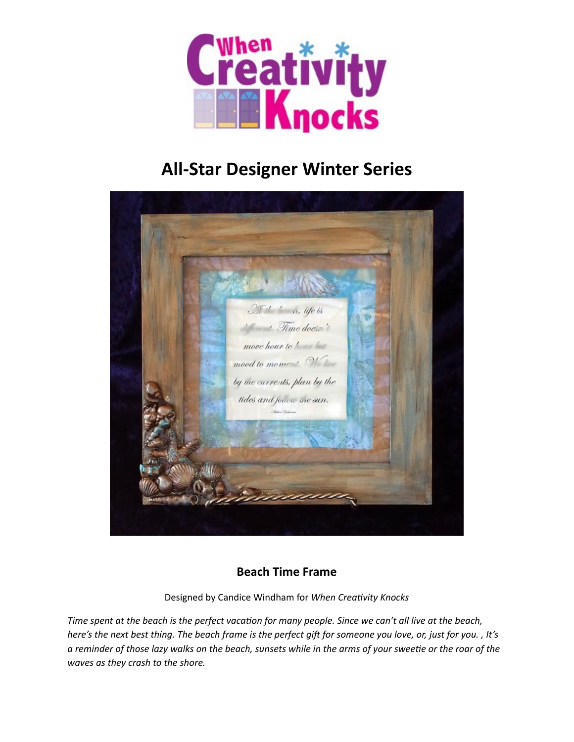

# **All-Star Designer Winter Series**



# **Beach Time Frame**

Designed by Candice Windham for When Creativity Knocks

*Time spent at the beach is the perfect vacation for many people. Since we can't all live at the beach, here's* the next best thing. The beach frame is the perfect gift for someone you love, or, just for you., It's *a* reminder of those lazy walks on the beach, sunsets while in the arms of your sweetie or the roar of the *waves as they crash to the shore.*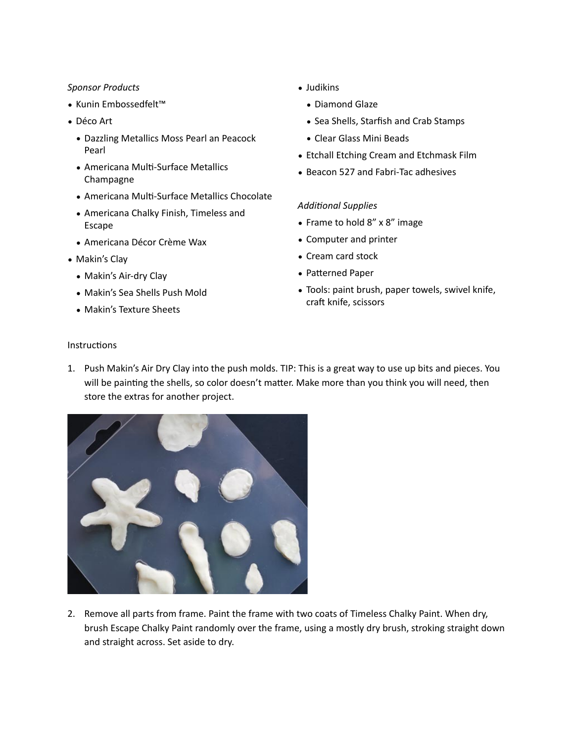#### *Sponsor Products*

- Kunin Embossedfelt™
- Déco Art
	- Dazzling Metallics Moss Pearl an Peacock Pearl
	- Americana Multi-Surface Metallics Champagne
	- Americana Multi-Surface Metallics Chocolate
	- Americana Chalky Finish, Timeless and Escape
	- Americana Décor Crème Wax
- Makin's Clay
	- Makin's Air-dry Clay
	- Makin's Sea Shells Push Mold
	- Makin's Texture Sheets
- Judikins
	- Diamond Glaze
	- Sea Shells, Starfish and Crab Stamps
	- Clear Glass Mini Beads
- Etchall Etching Cream and Etchmask Film
- Beacon 527 and Fabri-Tac adhesives

## **Additional Supplies**

- Frame to hold  $8'' \times 8''$  image
- Computer and printer
- Cream card stock
- Patterned Paper
- Tools: paint brush, paper towels, swivel knife, craft knife, scissors

## Instructions

1. Push Makin's Air Dry Clay into the push molds. TIP: This is a great way to use up bits and pieces. You will be painting the shells, so color doesn't matter. Make more than you think you will need, then store the extras for another project.



2. Remove all parts from frame. Paint the frame with two coats of Timeless Chalky Paint. When dry, brush Escape Chalky Paint randomly over the frame, using a mostly dry brush, stroking straight down and straight across. Set aside to dry.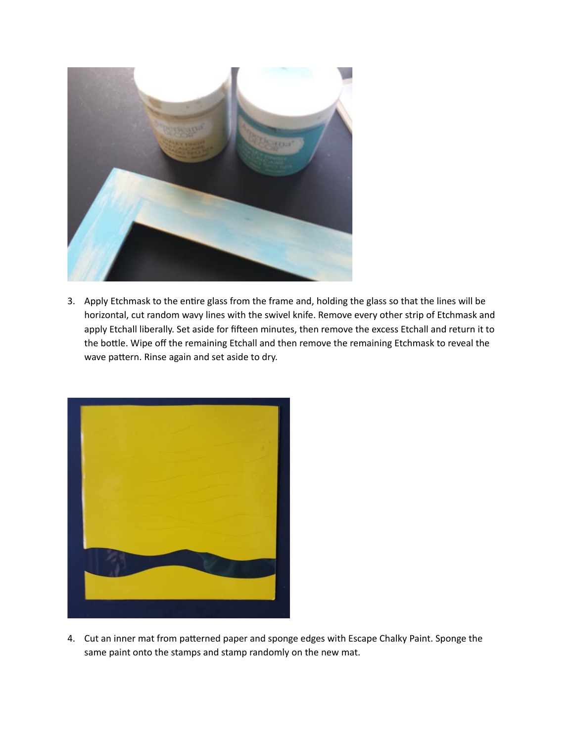

3. Apply Etchmask to the entire glass from the frame and, holding the glass so that the lines will be horizontal, cut random wavy lines with the swivel knife. Remove every other strip of Etchmask and apply Etchall liberally. Set aside for fifteen minutes, then remove the excess Etchall and return it to the bottle. Wipe off the remaining Etchall and then remove the remaining Etchmask to reveal the wave pattern. Rinse again and set aside to dry.



4. Cut an inner mat from patterned paper and sponge edges with Escape Chalky Paint. Sponge the same paint onto the stamps and stamp randomly on the new mat.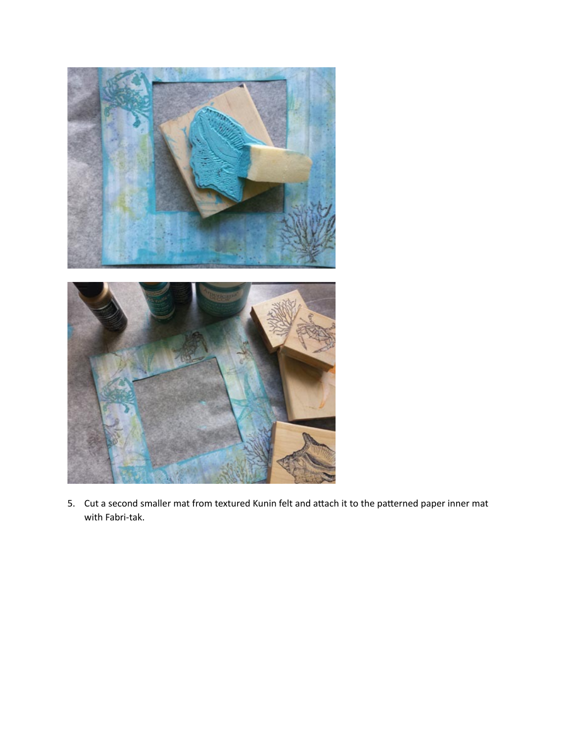

5. Cut a second smaller mat from textured Kunin felt and attach it to the patterned paper inner mat with Fabri-tak.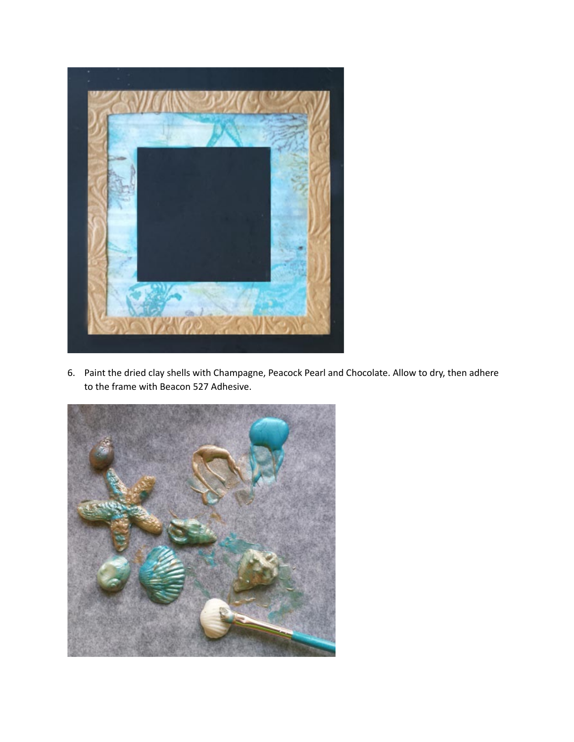

6. Paint the dried clay shells with Champagne, Peacock Pearl and Chocolate. Allow to dry, then adhere to the frame with Beacon 527 Adhesive.

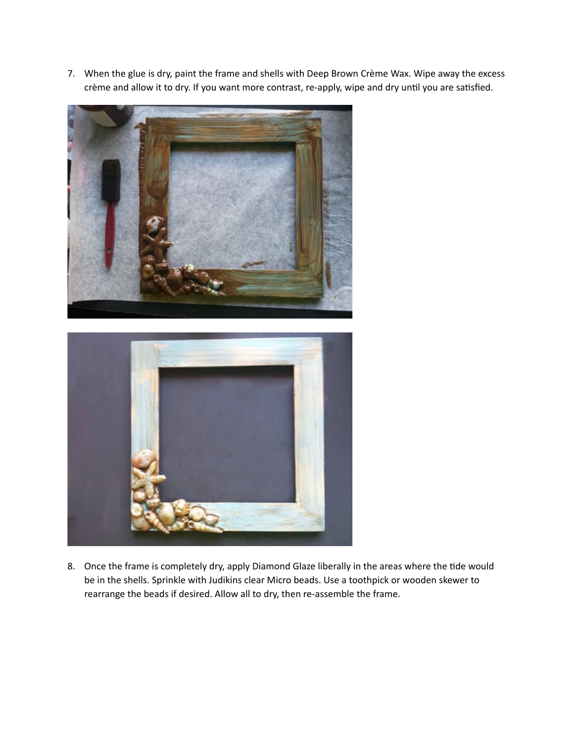7. When the glue is dry, paint the frame and shells with Deep Brown Crème Wax. Wipe away the excess crème and allow it to dry. If you want more contrast, re-apply, wipe and dry until you are satisfied.





8. Once the frame is completely dry, apply Diamond Glaze liberally in the areas where the tide would be in the shells. Sprinkle with Judikins clear Micro beads. Use a toothpick or wooden skewer to rearrange the beads if desired. Allow all to dry, then re-assemble the frame.